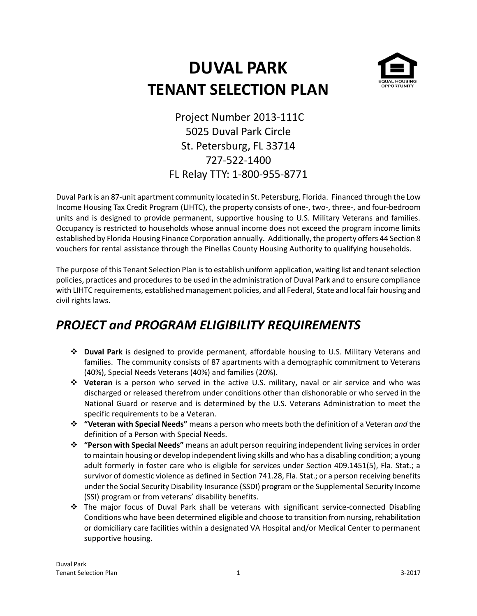# **DUVAL PARK TENANT SELECTION PLAN**



Project Number 2013-111C 5025 Duval Park Circle St. Petersburg, FL 33714 727-522-1400 FL Relay TTY: 1-800-955-8771

Duval Park is an 87-unit apartment community located in St. Petersburg, Florida. Financed through the Low Income Housing Tax Credit Program (LIHTC), the property consists of one-, two-, three-, and four-bedroom units and is designed to provide permanent, supportive housing to U.S. Military Veterans and families. Occupancy is restricted to households whose annual income does not exceed the program income limits established by Florida Housing Finance Corporation annually. Additionally, the property offers 44 Section 8 vouchers for rental assistance through the Pinellas County Housing Authority to qualifying households.

The purpose of this Tenant Selection Plan is to establish uniform application, waiting list and tenant selection policies, practices and procedures to be used in the administration of Duval Park and to ensure compliance with LIHTC requirements, established management policies, and all Federal, State and local fair housing and civil rights laws.

#### *PROJECT and PROGRAM ELIGIBILITY REQUIREMENTS*

- **Duval Park** is designed to provide permanent, affordable housing to U.S. Military Veterans and families. The community consists of 87 apartments with a demographic commitment to Veterans (40%), Special Needs Veterans (40%) and families (20%).
- **Veteran** is a person who served in the active U.S. military, naval or air service and who was discharged or released therefrom under conditions other than dishonorable or who served in the National Guard or reserve and is determined by the U.S. Veterans Administration to meet the specific requirements to be a Veteran.
- **"Veteran with Special Needs"** means a person who meets both the definition of a Veteran *and* the definition of a Person with Special Needs.
- **"Person with Special Needs"** means an adult person requiring independent living services in order to maintain housing or develop independent living skills and who has a disabling condition; a young adult formerly in foster care who is eligible for services under Section 409.1451(5), Fla. Stat.; a survivor of domestic violence as defined in Section 741.28, Fla. Stat.; or a person receiving benefits under the Social Security Disability Insurance (SSDI) program or the Supplemental Security Income (SSI) program or from veterans' disability benefits.
- The major focus of Duval Park shall be veterans with significant service-connected Disabling Conditions who have been determined eligible and choose to transition from nursing, rehabilitation or domiciliary care facilities within a designated VA Hospital and/or Medical Center to permanent supportive housing.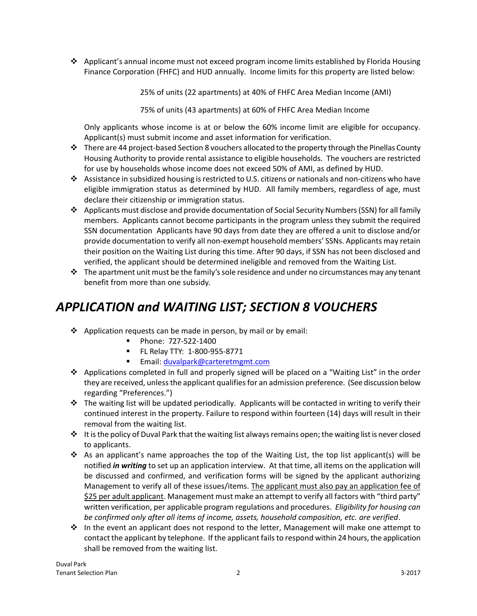$\triangle$  Applicant's annual income must not exceed program income limits established by Florida Housing Finance Corporation (FHFC) and HUD annually. Income limits for this property are listed below:

25% of units (22 apartments) at 40% of FHFC Area Median Income (AMI)

75% of units (43 apartments) at 60% of FHFC Area Median Income

Only applicants whose income is at or below the 60% income limit are eligible for occupancy. Applicant(s) must submit income and asset information for verification.

- $\cdot \cdot$  There are 44 project-based Section 8 vouchers allocated to the property through the Pinellas County Housing Authority to provide rental assistance to eligible households. The vouchers are restricted for use by households whose income does not exceed 50% of AMI, as defined by HUD.
- Assistance in subsidized housing is restricted to U.S. citizens or nationals and non-citizens who have eligible immigration status as determined by HUD. All family members, regardless of age, must declare their citizenship or immigration status.
- $\triangle$  Applicants must disclose and provide documentation of Social Security Numbers (SSN) for all family members. Applicants cannot become participants in the program unless they submit the required SSN documentation Applicants have 90 days from date they are offered a unit to disclose and/or provide documentation to verify all non-exempt household members' SSNs. Applicants may retain their position on the Waiting List during this time. After 90 days, if SSN has not been disclosed and verified, the applicant should be determined ineligible and removed from the Waiting List.
- $\cdot \cdot$  The apartment unit must be the family's sole residence and under no circumstances may any tenant benefit from more than one subsidy.

# *APPLICATION and WAITING LIST; SECTION 8 VOUCHERS*

- $\clubsuit$  Application requests can be made in person, by mail or by email:
	- Phone: 727-522-1400
	- FL Relay TTY: 1-800-955-8771
	- Email: [duvalpark@carteretmgmt.com](mailto:duvalpark@carteretmgmt.com)
- Applications completed in full and properly signed will be placed on a "Waiting List" in the order they are received, unless the applicant qualifies for an admission preference. (See discussion below regarding "Preferences.")
- $\cdot \cdot$  The waiting list will be updated periodically. Applicants will be contacted in writing to verify their continued interest in the property. Failure to respond within fourteen (14) days will result in their removal from the waiting list.
- $\cdot \cdot$  It is the policy of Duval Park that the waiting list always remains open; the waiting list is never closed to applicants.
- $\div$  As an applicant's name approaches the top of the Waiting List, the top list applicant(s) will be notified *in writing* to set up an application interview. At that time, all items on the application will be discussed and confirmed, and verification forms will be signed by the applicant authorizing Management to verify all of these issues/items. The applicant must also pay an application fee of \$25 per adult applicant. Management must make an attempt to verify all factors with "third party" written verification, per applicable program regulations and procedures. *Eligibility for housing can be confirmed only after all items of income, assets, household composition, etc. are verified*.
- $\cdot \cdot$  In the event an applicant does not respond to the letter, Management will make one attempt to contact the applicant by telephone. If the applicant fails to respond within 24 hours, the application shall be removed from the waiting list.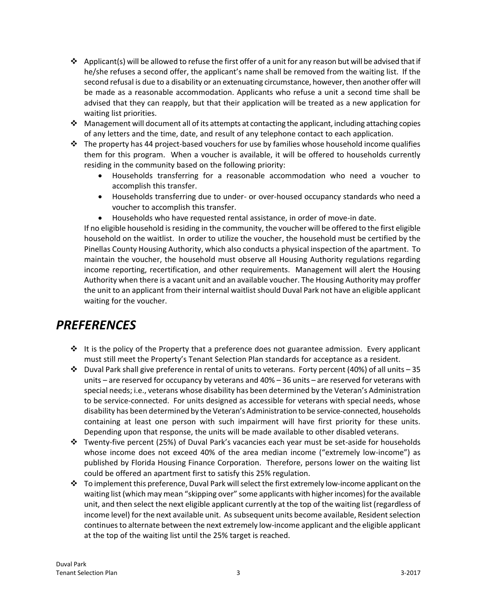- ❖ Applicant(s) will be allowed to refuse the first offer of a unit for any reason but will be advised that if he/she refuses a second offer, the applicant's name shall be removed from the waiting list. If the second refusal is due to a disability or an extenuating circumstance, however, then another offer will be made as a reasonable accommodation. Applicants who refuse a unit a second time shall be advised that they can reapply, but that their application will be treated as a new application for waiting list priorities.
- Management will document all of its attempts at contacting the applicant, including attaching copies of any letters and the time, date, and result of any telephone contact to each application.
- $\div$  The property has 44 project-based vouchers for use by families whose household income qualifies them for this program. When a voucher is available, it will be offered to households currently residing in the community based on the following priority:
	- Households transferring for a reasonable accommodation who need a voucher to accomplish this transfer.
	- Households transferring due to under- or over-housed occupancy standards who need a voucher to accomplish this transfer.
	- Households who have requested rental assistance, in order of move-in date.

If no eligible household is residing in the community, the voucher will be offered to the first eligible household on the waitlist. In order to utilize the voucher, the household must be certified by the Pinellas County Housing Authority, which also conducts a physical inspection of the apartment. To maintain the voucher, the household must observe all Housing Authority regulations regarding income reporting, recertification, and other requirements. Management will alert the Housing Authority when there is a vacant unit and an available voucher. The Housing Authority may proffer the unit to an applicant from their internal waitlist should Duval Park not have an eligible applicant waiting for the voucher.

#### *PREFERENCES*

- $\div$  It is the policy of the Property that a preference does not guarantee admission. Every applicant must still meet the Property's Tenant Selection Plan standards for acceptance as a resident.
- $\cdot$  Duval Park shall give preference in rental of units to veterans. Forty percent (40%) of all units 35 units – are reserved for occupancy by veterans and 40% – 36 units – are reserved for veterans with special needs; i.e., veterans whose disability has been determined by the Veteran's Administration to be service-connected. For units designed as accessible for veterans with special needs, whose disability has been determined by the Veteran's Administration to be service-connected, households containing at least one person with such impairment will have first priority for these units. Depending upon that response, the units will be made available to other disabled veterans.
- Twenty-five percent (25%) of Duval Park's vacancies each year must be set-aside for households whose income does not exceed 40% of the area median income ("extremely low-income") as published by Florida Housing Finance Corporation. Therefore, persons lower on the waiting list could be offered an apartment first to satisfy this 25% regulation.
- \* To implement this preference, Duval Park will select the first extremely low-income applicant on the waiting list (which may mean "skipping over" some applicants with higher incomes) for the available unit, and then select the next eligible applicant currently at the top of the waiting list (regardless of income level) for the next available unit. As subsequent units become available, Resident selection continues to alternate between the next extremely low-income applicant and the eligible applicant at the top of the waiting list until the 25% target is reached.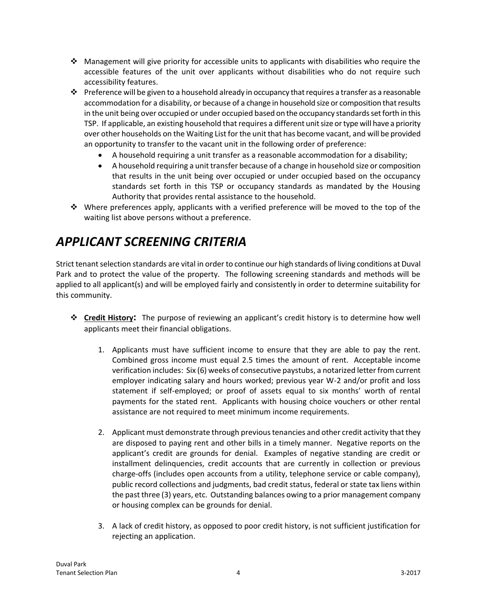- $\cdot$  Management will give priority for accessible units to applicants with disabilities who require the accessible features of the unit over applicants without disabilities who do not require such accessibility features.
- $\cdot \cdot$  Preference will be given to a household already in occupancy that requires a transfer as a reasonable accommodation for a disability, or because of a change in household size or composition that results in the unit being over occupied or under occupied based on the occupancy standards set forth in this TSP. If applicable, an existing household that requires a different unit size or type will have a priority over other households on the Waiting List for the unit that has become vacant, and will be provided an opportunity to transfer to the vacant unit in the following order of preference:
	- A household requiring a unit transfer as a reasonable accommodation for a disability;
	- A household requiring a unit transfer because of a change in household size or composition that results in the unit being over occupied or under occupied based on the occupancy standards set forth in this TSP or occupancy standards as mandated by the Housing Authority that provides rental assistance to the household.
- Where preferences apply, applicants with a verified preference will be moved to the top of the waiting list above persons without a preference.

### *APPLICANT SCREENING CRITERIA*

Strict tenant selection standards are vital in order to continue our high standards of living conditions at Duval Park and to protect the value of the property. The following screening standards and methods will be applied to all applicant(s) and will be employed fairly and consistently in order to determine suitability for this community.

- **Credit History:** The purpose of reviewing an applicant's credit history is to determine how well applicants meet their financial obligations.
	- 1. Applicants must have sufficient income to ensure that they are able to pay the rent. Combined gross income must equal 2.5 times the amount of rent. Acceptable income verification includes: Six (6) weeks of consecutive paystubs, a notarized letter from current employer indicating salary and hours worked; previous year W-2 and/or profit and loss statement if self-employed; or proof of assets equal to six months' worth of rental payments for the stated rent. Applicants with housing choice vouchers or other rental assistance are not required to meet minimum income requirements.
	- 2. Applicant must demonstrate through previous tenancies and other credit activity that they are disposed to paying rent and other bills in a timely manner. Negative reports on the applicant's credit are grounds for denial. Examples of negative standing are credit or installment delinquencies, credit accounts that are currently in collection or previous charge-offs (includes open accounts from a utility, telephone service or cable company), public record collections and judgments, bad credit status, federal or state tax liens within the past three (3) years, etc. Outstanding balances owing to a prior management company or housing complex can be grounds for denial.
	- 3. A lack of credit history, as opposed to poor credit history, is not sufficient justification for rejecting an application.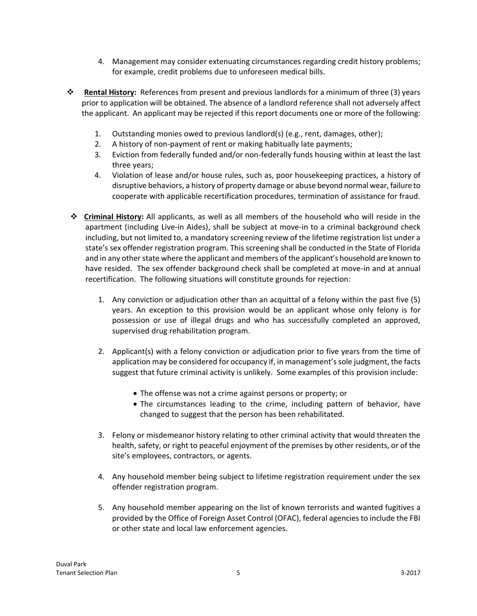- 4. Management may consider extenuating circumstances regarding credit history problems; for example, credit problems due to unforeseen medical bills.
- **Rental History:** References from present and previous landlords for a minimum of three (3) years prior to application will be obtained. The absence of a landlord reference shall not adversely affect the applicant. An applicant may be rejected if this report documents one or more of the following:
	- 1. Outstanding monies owed to previous landlord(s) (e.g., rent, damages, other);
	- 2. A history of non-payment of rent or making habitually late payments;
	- 3. Eviction from federally funded and/or non-federally funds housing within at least the last three years;
	- 4. Violation of lease and/or house rules, such as, poor housekeeping practices, a history of disruptive behaviors, a history of property damage or abuse beyond normal wear, failure to cooperate with applicable recertification procedures, termination of assistance for fraud.
- **Criminal History:** All applicants, as well as all members of the household who will reside in the apartment (including Live-in Aides), shall be subject at move-in to a criminal background check including, but not limited to, a mandatory screening review of the lifetime registration list under a state's sex offender registration program. This screening shall be conducted in the State of Florida and in any other state where the applicant and members of the applicant's household are known to have resided. The sex offender background check shall be completed at move-in and at annual recertification. The following situations will constitute grounds for rejection:
	- 1. Any conviction or adjudication other than an acquittal of a felony within the past five (5) years. An exception to this provision would be an applicant whose only felony is for possession or use of illegal drugs and who has successfully completed an approved, supervised drug rehabilitation program.
	- 2. Applicant(s) with a felony conviction or adjudication prior to five years from the time of application may be considered for occupancy if, in management's sole judgment, the facts suggest that future criminal activity is unlikely. Some examples of this provision include:
		- The offense was not a crime against persons or property; or
		- The circumstances leading to the crime, including pattern of behavior, have changed to suggest that the person has been rehabilitated.
	- 3. Felony or misdemeanor history relating to other criminal activity that would threaten the health, safety, or right to peaceful enjoyment of the premises by other residents, or of the site's employees, contractors, or agents.
	- 4. Any household member being subject to lifetime registration requirement under the sex offender registration program.
	- 5. Any household member appearing on the list of known terrorists and wanted fugitives a provided by the Office of Foreign Asset Control (OFAC), federal agencies to include the FBI or other state and local law enforcement agencies.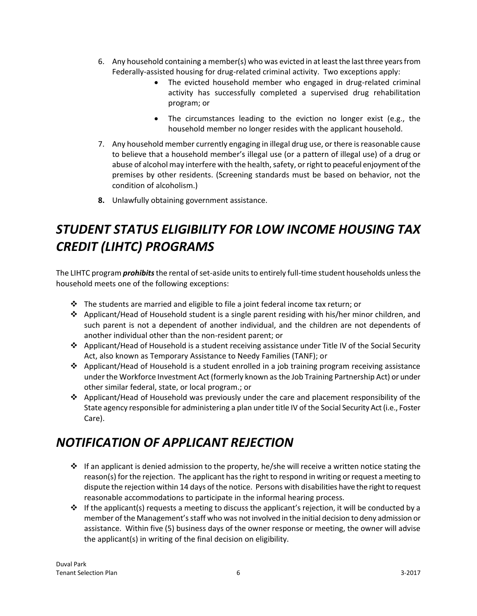- 6. Any household containing a member(s) who was evicted in at least the last three years from Federally-assisted housing for drug-related criminal activity. Two exceptions apply:
	- The evicted household member who engaged in drug-related criminal activity has successfully completed a supervised drug rehabilitation program; or
	- The circumstances leading to the eviction no longer exist (e.g., the household member no longer resides with the applicant household.
- 7. Any household member currently engaging in illegal drug use, or there is reasonable cause to believe that a household member's illegal use (or a pattern of illegal use) of a drug or abuse of alcohol may interfere with the health, safety, or right to peaceful enjoyment of the premises by other residents. (Screening standards must be based on behavior, not the condition of alcoholism.)
- **8.** Unlawfully obtaining government assistance.

# *STUDENT STATUS ELIGIBILITY FOR LOW INCOME HOUSING TAX CREDIT (LIHTC) PROGRAMS*

The LIHTC program *prohibits*the rental of set-aside units to entirely full-time student households unless the household meets one of the following exceptions:

- The students are married and eligible to file a joint federal income tax return; or
- Applicant/Head of Household student is a single parent residing with his/her minor children, and such parent is not a dependent of another individual, and the children are not dependents of another individual other than the non-resident parent; or
- Applicant/Head of Household is a student receiving assistance under Title IV of the Social Security Act, also known as Temporary Assistance to Needy Families (TANF); or
- Applicant/Head of Household is a student enrolled in a job training program receiving assistance under the Workforce Investment Act (formerly known as the Job Training Partnership Act) or under other similar federal, state, or local program.; or
- $\triangleleft$  Applicant/Head of Household was previously under the care and placement responsibility of the State agency responsible for administering a plan under title IV of the Social Security Act (i.e., Foster Care).

#### *NOTIFICATION OF APPLICANT REJECTION*

- $\div$  If an applicant is denied admission to the property, he/she will receive a written notice stating the reason(s) for the rejection. The applicant has the right to respond in writing or request a meeting to dispute the rejection within 14 days of the notice. Persons with disabilities have the right to request reasonable accommodations to participate in the informal hearing process.
- $\div$  If the applicant(s) requests a meeting to discuss the applicant's rejection, it will be conducted by a member of the Management's staff who was not involved in the initial decision to deny admission or assistance. Within five (5) business days of the owner response or meeting, the owner will advise the applicant(s) in writing of the final decision on eligibility.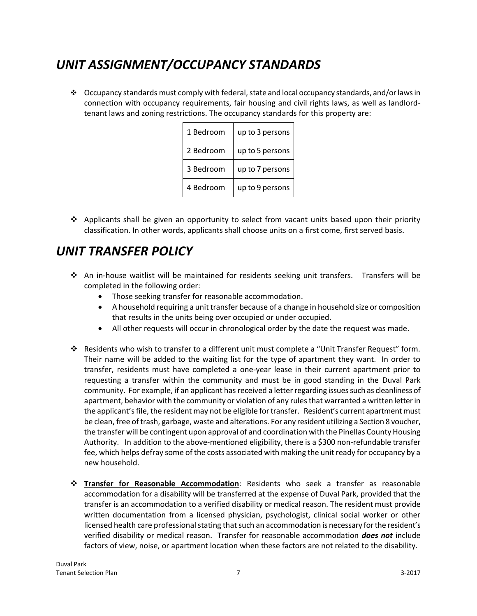#### *UNIT ASSIGNMENT/OCCUPANCY STANDARDS*

 $\bullet$  Occupancy standards must comply with federal, state and local occupancy standards, and/or laws in connection with occupancy requirements, fair housing and civil rights laws, as well as landlordtenant laws and zoning restrictions. The occupancy standards for this property are:

| 1 Bedroom | up to 3 persons |
|-----------|-----------------|
| 2 Bedroom | up to 5 persons |
| 3 Bedroom | up to 7 persons |
| 4 Bedroom | up to 9 persons |

 $\triangle$  Applicants shall be given an opportunity to select from vacant units based upon their priority classification. In other words, applicants shall choose units on a first come, first served basis.

#### *UNIT TRANSFER POLICY*

- $\hat{\mathbf{v}}$  An in-house waitlist will be maintained for residents seeking unit transfers. Transfers will be completed in the following order:
	- Those seeking transfer for reasonable accommodation.
	- A household requiring a unit transfer because of a change in household size or composition that results in the units being over occupied or under occupied.
	- All other requests will occur in chronological order by the date the request was made.
- Residents who wish to transfer to a different unit must complete a "Unit Transfer Request" form. Their name will be added to the waiting list for the type of apartment they want. In order to transfer, residents must have completed a one-year lease in their current apartment prior to requesting a transfer within the community and must be in good standing in the Duval Park community. For example, if an applicant has received a letter regarding issues such as cleanliness of apartment, behavior with the community or violation of any rules that warranted a written letter in the applicant's file, the resident may not be eligible for transfer. Resident's current apartment must be clean, free of trash, garbage, waste and alterations. For any resident utilizing a Section 8 voucher, the transfer will be contingent upon approval of and coordination with the Pinellas County Housing Authority. In addition to the above-mentioned eligibility, there is a \$300 non-refundable transfer fee, which helps defray some of the costs associated with making the unit ready for occupancy by a new household.
- **Transfer for Reasonable Accommodation**: Residents who seek a transfer as reasonable accommodation for a disability will be transferred at the expense of Duval Park, provided that the transfer is an accommodation to a verified disability or medical reason. The resident must provide written documentation from a licensed physician, psychologist, clinical social worker or other licensed health care professional stating that such an accommodation is necessary for the resident's verified disability or medical reason. Transfer for reasonable accommodation *does not* include factors of view, noise, or apartment location when these factors are not related to the disability.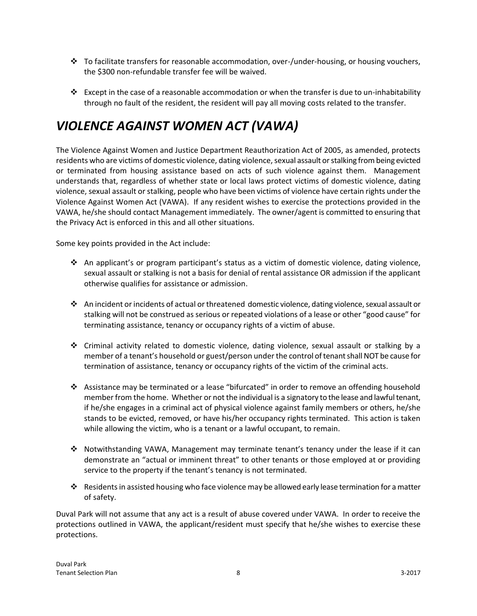- $\cdot \cdot$  To facilitate transfers for reasonable accommodation, over-/under-housing, or housing vouchers, the \$300 non-refundable transfer fee will be waived.
- Except in the case of a reasonable accommodation or when the transfer is due to un-inhabitability through no fault of the resident, the resident will pay all moving costs related to the transfer.

# *VIOLENCE AGAINST WOMEN ACT (VAWA)*

The Violence Against Women and Justice Department Reauthorization Act of 2005, as amended, protects residents who are victims of domestic violence, dating violence, sexual assault or stalking from being evicted or terminated from housing assistance based on acts of such violence against them. Management understands that, regardless of whether state or local laws protect victims of domestic violence, dating violence, sexual assault or stalking, people who have been victims of violence have certain rights under the Violence Against Women Act (VAWA). If any resident wishes to exercise the protections provided in the VAWA, he/she should contact Management immediately. The owner/agent is committed to ensuring that the Privacy Act is enforced in this and all other situations.

Some key points provided in the Act include:

- An applicant's or program participant's status as a victim of domestic violence, dating violence, sexual assault or stalking is not a basis for denial of rental assistance OR admission if the applicant otherwise qualifies for assistance or admission.
- An incident or incidents of actual or threatened domestic violence, dating violence, sexual assault or stalking will not be construed as serious or repeated violations of a lease or other "good cause" for terminating assistance, tenancy or occupancy rights of a victim of abuse.
- Criminal activity related to domestic violence, dating violence, sexual assault or stalking by a member of a tenant's household or guest/person under the control of tenant shall NOT be cause for termination of assistance, tenancy or occupancy rights of the victim of the criminal acts.
- Assistance may be terminated or a lease "bifurcated" in order to remove an offending household member from the home. Whether or not the individual is a signatory to the lease and lawful tenant, if he/she engages in a criminal act of physical violence against family members or others, he/she stands to be evicted, removed, or have his/her occupancy rights terminated. This action is taken while allowing the victim, who is a tenant or a lawful occupant, to remain.
- Notwithstanding VAWA, Management may terminate tenant's tenancy under the lease if it can demonstrate an "actual or imminent threat" to other tenants or those employed at or providing service to the property if the tenant's tenancy is not terminated.
- Residents in assisted housing who face violence may be allowed early lease termination for a matter of safety.

Duval Park will not assume that any act is a result of abuse covered under VAWA. In order to receive the protections outlined in VAWA, the applicant/resident must specify that he/she wishes to exercise these protections.